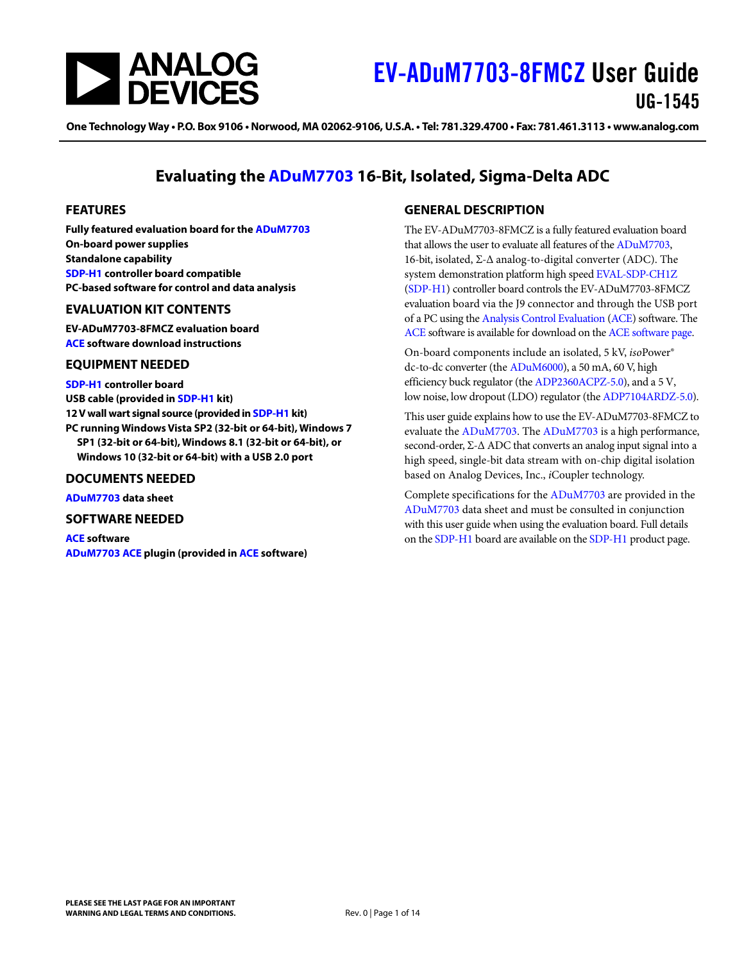

One Technology Way • P.O. Box 9106 • Norwood, MA 02062-9106, U.S.A. • Tel: 781.329.4700 • Fax: 781.461.3113 • www.analog.com

### **Evaluating the [ADuM7703](https://www.analog.com/ADuM7703?doc=EV-ADuM7703-8FMCZ-UG-1545.pdf) 16-Bit, Isolated, Sigma-Delta ADC**

#### <span id="page-0-0"></span>**FEATURES**

**Fully featured evaluation board for th[e ADuM7703](https://www.analog.com/ADuM7703?doc=EV-ADuM7703-8FMCZ-UG-1545.pdf) On-board power supplies Standalone capability [SDP-H1 c](https://www.analog.com/SDP-H1?doc=EV-ADuM7703-8FMCZ-UG-1545.pdf)ontroller board compatible PC-based software for control and data analysis** 

#### <span id="page-0-1"></span>**EVALUATION KIT CONTENTS**

**EV-ADuM7703-8FMCZ evaluation board [ACE s](https://www.analog.com/ACE?doc=EV-ADuM7703-8FMCZ-UG-1545.pdf)oftware download instructions** 

#### <span id="page-0-2"></span>**EQUIPMENT NEEDED**

**[SDP-H1 c](https://www.analog.com/SDP-H1?doc=EV-ADuM7703-8FMCZ-UG-1545.pdf)ontroller board USB cable (provided i[n SDP-H1 k](https://www.analog.com/SDP-H1?doc=EV-ADuM7703-8FMCZ-UG-1545.pdf)it) 12 V wall wart signal source (provided i[n SDP-H1 k](https://www.analog.com/SDP-H1?doc=EV-ADuM7703-8FMCZ-UG-1545.pdf)it) PC running Windows Vista SP2 (32-bit or 64-bit), Windows 7 SP1 (32-bit or 64-bit), Windows 8.1 (32-bit or 64-bit), or Windows 10 (32-bit or 64-bit) with a USB 2.0 port** 

#### <span id="page-0-3"></span>**DOCUMENTS NEEDED**

**[ADuM7703 d](https://www.analog.com/ADuM7703?doc=EV-ADuM7703-8FMCZ-UG-1545.pdf)ata sheet** 

#### <span id="page-0-4"></span>**SOFTWARE NEEDED**

**[ACE s](https://www.analog.com/ACE?doc=EV-ADuM7703-8FMCZ-UG-1545.pdf)oftware [ADuM7703](https://www.analog.com/ADuM7703?doc=EV-ADuM7703-8FMCZ-UG-1545.pdf) [ACE p](https://www.analog.com/ACE?doc=EV-ADuM7703-8FMCZ-UG-1545.pdf)lugin (provided i[n ACE s](https://www.analog.com/ACE?doc=EV-ADuM7703-8FMCZ-UG-1545.pdf)oftware)** 

#### <span id="page-0-5"></span>**GENERAL DESCRIPTION**

The EV-ADuM7703-8FMCZ is a fully featured evaluation board that allows the user to evaluate all features of th[e ADuM7703,](https://www.analog.com/ADuM7703?doc=EV-ADuM7703-8FMCZ-UG-1545.pdf)  16-bit, isolated, Σ-Δ analog-to-digital converter (ADC). The system demonstration platform high spee[d EVAL-SDP-CH1Z](https://www.analog.com/SDP-H1?doc=EV-ADuM7703-8FMCZ-UG-1545.pdf) [\(SDP-H1\)](https://www.analog.com/SDP-H1?doc=EV-ADuM7703-8FMCZ-UG-1545.pdf) controller board controls the EV-ADuM7703-8FMCZ evaluation board via the J9 connector and through the USB port of a PC using the [Analysis Control Evaluation \(ACE\)](https://www.analog.com/ACE?doc=EV-ADuM7703-8FMCZ-UG-1545.pdf) software. The [ACE s](https://www.analog.com/ACE?doc=EV-ADuM7703-8FMCZ-UG-1545.pdf)oftware is available for download on th[e ACE software page.](https://www.analog.com/ace?doc=EV-ADuM7703-8FMCZ-UG-1545.pdf) 

On-board components include an isolated, 5 kV, *iso*Power® dc-to-dc converter (the [ADuM6000\)](https://www.analog.com/adum6000?doc=EV-ADuM7703-8FMCZ-UG-1545.pdf), a 50 mA, 60 V, high efficiency buck regulator (th[e ADP2360ACPZ-5.0\)](https://www.analog.com/ADP2360?doc=EV-ADuM7703-8FMCZ-UG-1545.pdf), and a 5 V, low noise, low dropout (LDO) regulator (th[e ADP7104ARDZ-5.0\)](https://www.analog.com/ADP7104?doc=EV-ADuM7703-8FMCZ-UG-1545.pdf).

This user guide explains how to use the EV-ADuM7703-8FMCZ to evaluate th[e ADuM7703.](https://www.analog.com/ADuM7703?doc=EV-ADuM7703-8FMCZ-UG-1545.pdf) The [ADuM7703 i](https://www.analog.com/ADuM7703?doc=EV-ADuM7703-8FMCZ-UG-1545.pdf)s a high performance, second-order, Σ-Δ ADC that converts an analog input signal into a high speed, single-bit data stream with on-chip digital isolation based on Analog Devices, Inc., *i*Coupler technology.

Complete specifications for the [ADuM7703 a](https://www.analog.com/ADuM7703?doc=EV-ADuM7703-8FMCZ-UG-1545.pdf)re provided in the [ADuM7703 d](https://www.analog.com/ADuM7703?doc=EV-ADuM7703-8FMCZ-UG-1545.pdf)ata sheet and must be consulted in conjunction with this user guide when using the evaluation board. Full details on th[e SDP-H1 b](https://www.analog.com/SDP-H1?doc=EV-ADuM7703-8FMCZ-UG-1545.pdf)oard are available on th[e SDP-H1 p](https://www.analog.com/SDP-H1?doc=EV-ADuM7703-8FMCZ-UG-1545.pdf)roduct page.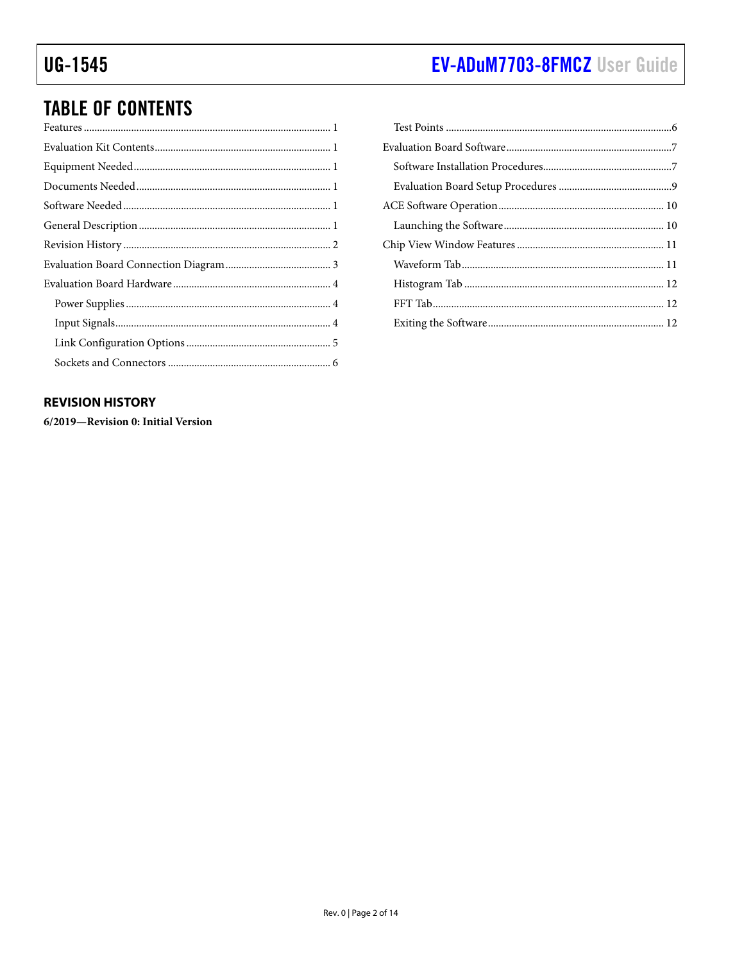# EV-ADuM7703-8FMCZ User Guide

# **TABLE OF CONTENTS**

### <span id="page-1-0"></span>**REVISION HISTORY**

6/2019-Revision 0: Initial Version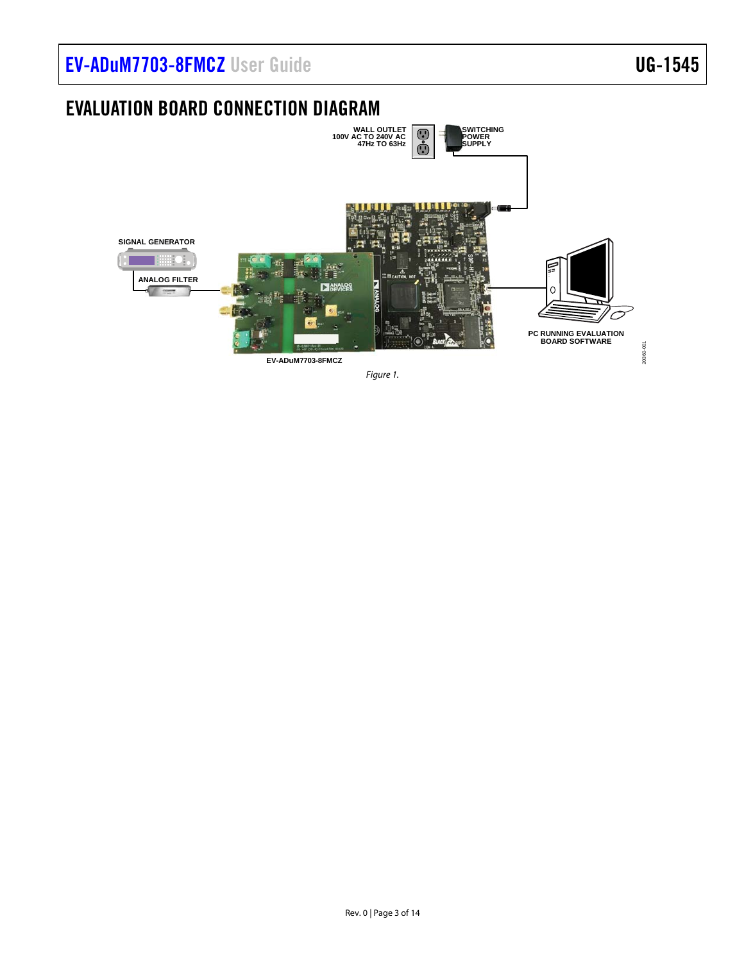# [EV-ADuM7703-8FMCZ](https://www.analog.com/EVAL-ADuM7703?doc=EV-ADuM7703-8FMCZ-UG-1545.pdf) User Guide Van Andrew VG-1545

## <span id="page-2-0"></span>EVALUATION BOARD CONNECTION DIAGRAM

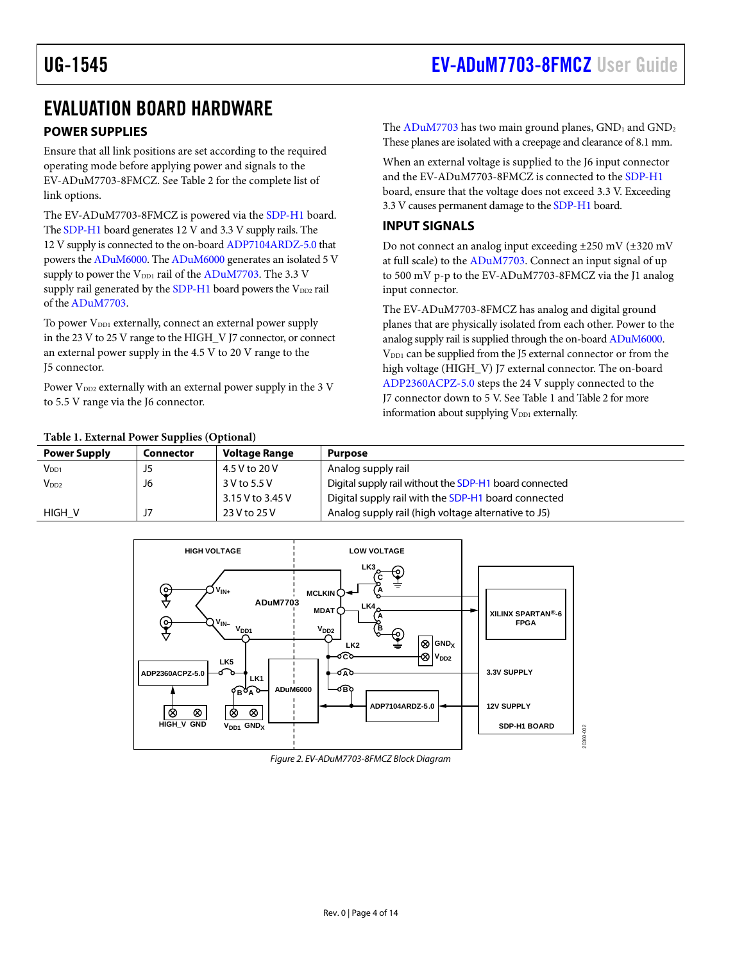### <span id="page-3-1"></span><span id="page-3-0"></span>EVALUATION BOARD HARDWARE

### **POWER SUPPLIES**

Ensure that all link positions are set according to the required operating mode before applying power and signals to the EV-ADuM7703-8FMCZ. Se[e Table 2 f](#page-4-1)or the complete list of link options.

The EV-ADuM7703-8FMCZ is powered via the [SDP-H1 b](https://www.analog.com/SDP-H1?doc=EV-ADuM7703-8FMCZ-UG-1545.pdf)oard. Th[e SDP-H1 b](https://www.analog.com/SDP-H1?doc=EV-ADuM7703-8FMCZ-UG-1545.pdf)oard generates 12 V and 3.3 V supply rails. The 12 V supply is connected to the on-boar[d ADP7104ARDZ-5.0 t](https://www.analog.com/ADP7104?doc=EV-ADuM7703-8FMCZ-UG-1545.pdf)hat powers th[e ADuM6000.](https://www.analog.com/adum6000?doc=EV-ADuM7703-8FMCZ-UG-1545.pdf) Th[e ADuM6000](https://www.analog.com/adum6000?doc=EV-ADuM7703-8FMCZ-UG-1545.pdf) generates an isolated 5 V supply to power the V<sub>DD1</sub> rail of the [ADuM7703.](https://www.analog.com/ADuM7703?doc=EV-ADuM7703-8FMCZ-UG-1545.pdf) The 3.3 V supply rail generated by th[e SDP-H1 b](https://www.analog.com/SDP-H1?doc=EV-ADuM7703-8FMCZ-UG-1545.pdf)oard powers the  $V_{DD2}$  rail of th[e ADuM7703.](https://www.analog.com/ADuM7703?doc=EV-ADuM7703-8FMCZ-UG-1545.pdf) 

To power V<sub>DD1</sub> externally, connect an external power supply in the 23 V to 25 V range to the HIGH\_V J7 connector, or connect an external power supply in the 4.5 V to 20 V range to the J5 connector.

Power  $V_{DD2}$  externally with an external power supply in the 3 V to 5.5 V range via the J6 connector.

The  $ADuM7703$  has two main ground planes,  $GND_1$  and  $GND_2$ These planes are isolated with a creepage and clearance of 8.1 mm.

When an external voltage is supplied to the J6 input connector and the EV-ADuM7703-8FMCZ is connected to the [SDP-H1](https://www.analog.com/SDP-H1?doc=EV-ADuM7703-8FMCZ-UG-1545.pdf) board, ensure that the voltage does not exceed 3.3 V. Exceeding 3.3 V causes permanent damage to th[e SDP-H1 b](https://www.analog.com/SDP-H1?doc=EV-ADuM7703-8FMCZ-UG-1545.pdf)oard.

#### **INPUT SIGNALS**

Do not connect an analog input exceeding ±250 mV (±320 mV at full scale) to th[e ADuM7703.](https://www.analog.com/ADuM7703?doc=EV-ADuM7703-8FMCZ-UG-1545.pdf) Connect an input signal of up to 500 mV p-p to the EV-ADuM7703-8FMCZ via the J1 analog input connector.

The EV-ADuM7703-8FMCZ has analog and digital ground planes that are physically isolated from each other. Power to the analog supply rail is supplied through the on-boar[d ADuM6000.](https://www.analog.com/adum6000?doc=EV-ADuM7703-8FMCZ-UG-1545.pdf) V<sub>DD1</sub> can be supplied from the J5 external connector or from the high voltage (HIGH\_V) J7 external connector. The on-board [ADP2360ACPZ-5.0 s](https://www.analog.com/ADP2360?doc=EV-ADuM7703-8FMCZ-UG-1545.pdf)teps the 24 V supply connected to the J7 connector down to 5 V. See [Table 1](#page-3-2) an[d Table 2 f](#page-4-1)or more information about supplying  $V_{DD1}$  externally.

#### <span id="page-3-2"></span>**Table 1. External Power Supplies (Optional)**

| Table 1. External Power Supplies (Optional) |                  |                                        |                                                        |
|---------------------------------------------|------------------|----------------------------------------|--------------------------------------------------------|
| <b>Power Supply</b>                         | <b>Connector</b> | <b>Voltage Range</b><br><b>Purpose</b> |                                                        |
| $V_{DD1}$                                   | J5               | 4.5 V to 20 V                          | Analog supply rail                                     |
| $V_{DD2}$                                   | J6               | 3 V to 5.5 V                           | Digital supply rail without the SDP-H1 board connected |
|                                             |                  | 3.15 V to 3.45 V                       | Digital supply rail with the SDP-H1 board connected    |
| HIGH V                                      | J7               | 23 V to 25 V                           | Analog supply rail (high voltage alternative to J5)    |



#### Figure 2. EV-ADuM7703-8FMCZ Block Diagram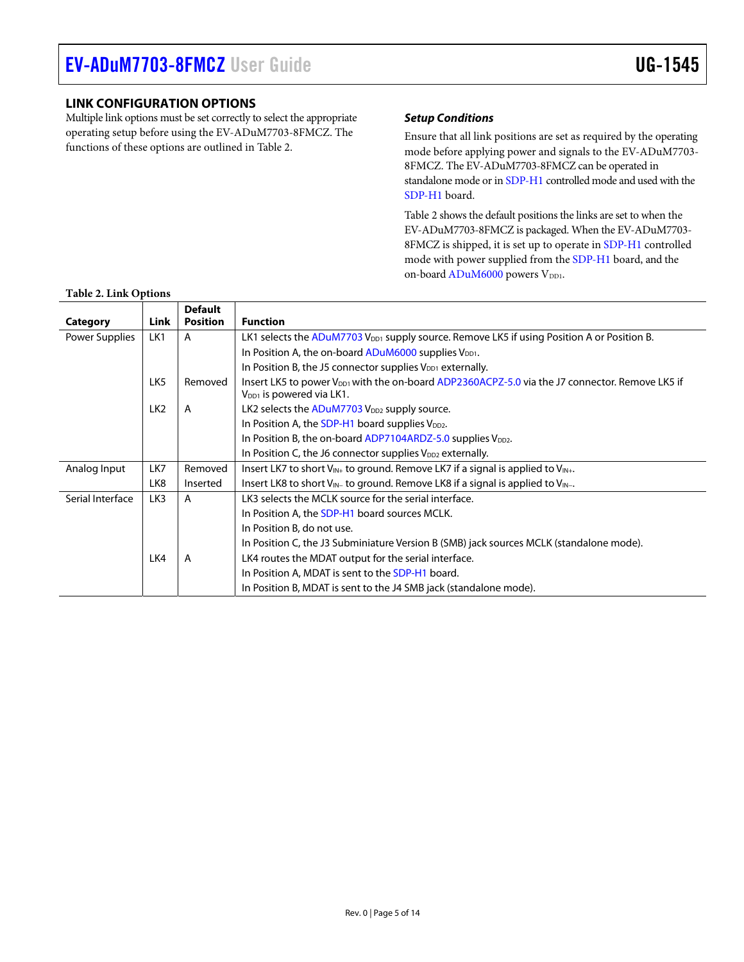### <span id="page-4-0"></span>**LINK CONFIGURATION OPTIONS**

Multiple link options must be set correctly to select the appropriate operating setup before using the EV-ADuM7703-8FMCZ. The functions of these options are outlined in [Table 2.](#page-4-1) 

#### **Setup Conditions**

Ensure that all link positions are set as required by the operating mode before applying power and signals to the EV-ADuM7703- 8FMCZ. The EV-ADuM7703-8FMCZ can be operated in standalone mode or i[n SDP-H1 c](https://www.analog.com/SDP-H1?doc=EV-ADuM7703-8FMCZ-UG-1545.pdf)ontrolled mode and used with the [SDP-H1 b](https://www.analog.com/SDP-H1?doc=EV-ADuM7703-8FMCZ-UG-1545.pdf)oard.

[Table 2 s](#page-4-1)hows the default positions the links are set to when the EV-ADuM7703-8FMCZ is packaged. When the EV-ADuM7703- 8FMCZ is shipped, it is set up to operate in [SDP-H1 c](https://www.analog.com/SDP-H1?doc=EV-ADuM7703-8FMCZ-UG-1545.pdf)ontrolled mode with power supplied from th[e SDP-H1 b](https://www.analog.com/SDP-H1?doc=EV-ADuM7703-8FMCZ-UG-1545.pdf)oard, and the on-boar[d ADuM6000 p](https://www.analog.com/adum6000?doc=EV-ADuM7703-8FMCZ-UG-1545.pdf)owers V<sub>DD1</sub>.

|                  |                 | <b>Default</b>  |                                                                                                                                                    |
|------------------|-----------------|-----------------|----------------------------------------------------------------------------------------------------------------------------------------------------|
| Category         | Link            | <b>Position</b> | <b>Function</b>                                                                                                                                    |
| Power Supplies   | LK1             | A               | LK1 selects the ADuM7703 V <sub>DD1</sub> supply source. Remove LK5 if using Position A or Position B.                                             |
|                  |                 |                 | In Position A, the on-board $ADuM6000$ supplies $V_{DD1}$ .                                                                                        |
|                  |                 |                 | In Position B, the J5 connector supplies V <sub>DD1</sub> externally.                                                                              |
|                  | LK5             | Removed         | Insert LK5 to power V <sub>DD1</sub> with the on-board ADP2360ACPZ-5.0 via the J7 connector. Remove LK5 if<br>V <sub>DD1</sub> is powered via LK1. |
|                  | LK <sub>2</sub> | A               | LK2 selects the ADuM7703 V <sub>DD2</sub> supply source.                                                                                           |
|                  |                 |                 | In Position A, the SDP-H1 board supplies $V_{DD2}$ .                                                                                               |
|                  |                 |                 | In Position B, the on-board $ADP7104ARDZ-5.0$ supplies $V_{DD2}$ .                                                                                 |
|                  |                 |                 | In Position C, the J6 connector supplies $V_{DD2}$ externally.                                                                                     |
| Analog Input     | LK7             | Removed         | Insert LK7 to short $V_{IN+}$ to ground. Remove LK7 if a signal is applied to $V_{IN+}$ .                                                          |
|                  | LK8             | Inserted        | Insert LK8 to short $V_{\text{IN-}}$ to ground. Remove LK8 if a signal is applied to $V_{\text{IN-}}$ .                                            |
| Serial Interface | LK3             | A               | LK3 selects the MCLK source for the serial interface.                                                                                              |
|                  |                 |                 | In Position A, the SDP-H1 board sources MCLK.                                                                                                      |
|                  |                 |                 | In Position B, do not use.                                                                                                                         |
|                  |                 |                 | In Position C, the J3 Subminiature Version B (SMB) jack sources MCLK (standalone mode).                                                            |
|                  | LK4             | A               | LK4 routes the MDAT output for the serial interface.                                                                                               |
|                  |                 |                 | In Position A, MDAT is sent to the SDP-H1 board.                                                                                                   |
|                  |                 |                 | In Position B, MDAT is sent to the J4 SMB jack (standalone mode).                                                                                  |

#### <span id="page-4-1"></span>**Table 2. Link Options**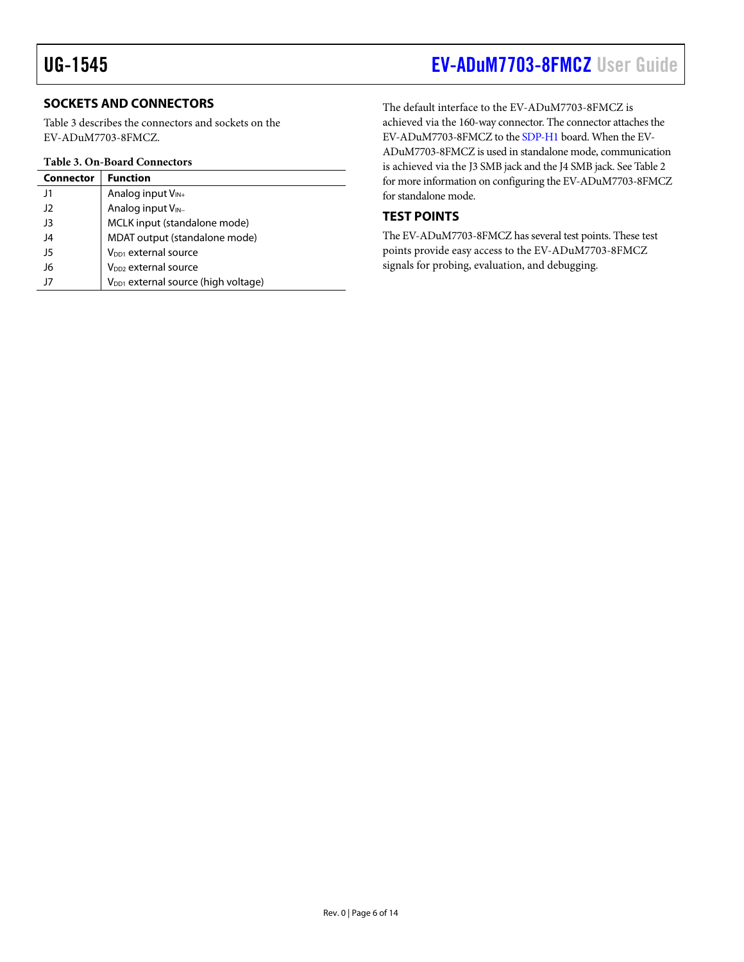### **SOCKETS AND CONNECTORS**

[Table 3](#page-5-1) describes the connectors and sockets on the EV-ADuM7703-8FMCZ.

#### <span id="page-5-1"></span>**Table 3. On-Board Connectors**

| <b>Connector</b> | <b>Function</b>                                 |
|------------------|-------------------------------------------------|
| J1               | Analog input $V_{IN+}$                          |
| $_{\rm J2}$      | Analog input V <sub>IN-</sub>                   |
| J3               | MCLK input (standalone mode)                    |
| J4               | MDAT output (standalone mode)                   |
| 15               | $V_{DD1}$ external source                       |
| J6               | V <sub>DD2</sub> external source                |
| 17               | V <sub>DD1</sub> external source (high voltage) |

## <span id="page-5-0"></span>UG-1545 [EV-ADuM7703-8FMCZ](https://www.analog.com/EVAL-ADuM7703?doc=EV-ADuM7703-8FMCZ-UG-1545.pdf) User Guide

The default interface to the EV-ADuM7703-8FMCZ is achieved via the 160-way connector. The connector attaches the EV-ADuM7703-8FMCZ to th[e SDP-H1 b](https://www.analog.com/SDP-H1?doc=EV-ADuM7703-8FMCZ-UG-1545.pdf)oard. When the EV-ADuM7703-8FMCZ is used in standalone mode, communication is achieved via the J3 SMB jack and the J4 SMB jack. Se[e Table 2](#page-4-1)  for more information on configuring the EV-ADuM7703-8FMCZ for standalone mode.

### **TEST POINTS**

The EV-ADuM7703-8FMCZ has several test points. These test points provide easy access to the EV-ADuM7703-8FMCZ signals for probing, evaluation, and debugging.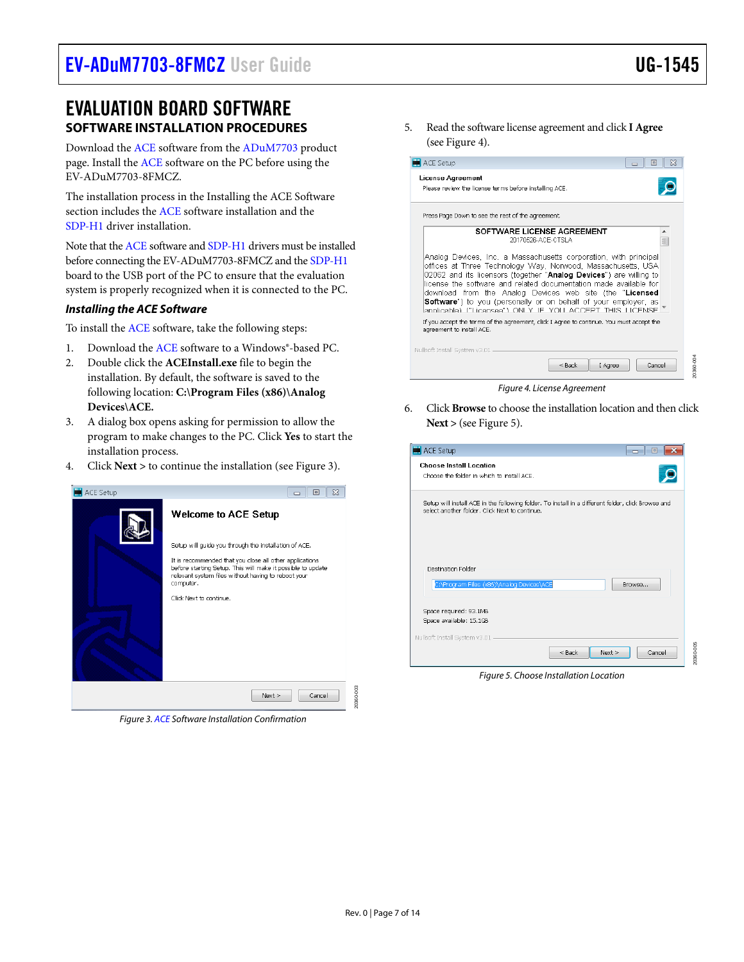20360-005

200-086

### <span id="page-6-0"></span>EVALUATION BOARD SOFTWARE **SOFTWARE INSTALLATION PROCEDURES**

Download th[e ACE s](https://www.analog.com/ACE?doc=EV-ADuM7703-8FMCZ-UG-1545.pdf)oftware from the [ADuM7703](https://www.analog.com/ADuM7703?doc=EV-ADuM7703-8FMCZ-UG-1545.pdf) product page. Install the [ACE](https://www.analog.com/ACE?doc=EV-ADuM7703-8FMCZ-UG-1545.pdf) software on the PC before using the EV-ADuM7703-8FMCZ.

The installation process in th[e Installing the ACE Software](#page-6-1)  section includes the [ACE](https://www.analog.com/ACE?doc=EV-ADuM7703-8FMCZ-UG-1545.pdf) software installation and the [SDP-H1 d](https://www.analog.com/SDP-H1?doc=EV-ADuM7703-8FMCZ-UG-1545.pdf)river installation.

Note that th[e ACE s](https://www.analog.com/ACE?doc=EV-ADuM7703-8FMCZ-UG-1545.pdf)oftware an[d SDP-H1 d](https://www.analog.com/SDP-H1?doc=EV-ADuM7703-8FMCZ-UG-1545.pdf)rivers must be installed before connecting the EV-ADuM7703-8FMCZ and th[e SDP-H1](https://www.analog.com/SDP-H1?doc=EV-ADuM7703-8FMCZ-UG-1545.pdf) board to the USB port of the PC to ensure that the evaluation system is properly recognized when it is connected to the PC.

#### <span id="page-6-1"></span>**Installing the ACE Software**

To install th[e ACE s](https://www.analog.com/ACE?doc=EV-ADuM7703-8FMCZ-UG-1545.pdf)oftware, take the following steps:

- 1. Download th[e ACE s](https://www.analog.com/ACE?doc=EV-ADuM7703-8FMCZ-UG-1545.pdf)oftware to a Windows®-based PC.
- 2. Double click the **ACEInstall.exe** file to begin the installation. By default, the software is saved to the following location: **C:\Program Files (x86)\Analog Devices\ACE.**
- 3. A dialog box opens asking for permission to allow the program to make changes to the PC. Click **Yes** to start the installation process.
- 4. Click **Next >** to continue the installation (se[e Figure 3\)](#page-6-2).

<span id="page-6-2"></span>

Figure 3[. ACE S](https://www.analog.com/ACE?doc=EV-ADuM7703-8FMCZ-UG-1545.pdf)oftware Installation Confirmation

5. Read the software license agreement and click **I Agree** (se[e Figure 4\)](#page-6-3).

|                           | Please review the license terms before installing ACE.                                                                                                                                                                                                                                                                                                                                                                                                                          |        |
|---------------------------|---------------------------------------------------------------------------------------------------------------------------------------------------------------------------------------------------------------------------------------------------------------------------------------------------------------------------------------------------------------------------------------------------------------------------------------------------------------------------------|--------|
|                           | Press Page Down to see the rest of the agreement.                                                                                                                                                                                                                                                                                                                                                                                                                               |        |
|                           | SOFTWARE LICENSE AGREEMENT<br>20170526-ACE-CTSLA                                                                                                                                                                                                                                                                                                                                                                                                                                | ▲<br>Ξ |
|                           | Analog Devices, Inc. a Massachusetts corporation, with principal<br>offices at Three Technology Way, Norwood, Massachusetts, USA<br>02062 and its licensors (together "Analog Devices") are willing to<br>license the software and related documentation made available for<br>download from the Analog Devices web site (the "Licensed<br><b>Software</b> ") to you (personally or on behalf of your employer, as<br>annlicable) ("Licensee") ONLY IF YOU ACCEPT THIS LICENSE. |        |
|                           | If you accept the terms of the agreement, click I Agree to continue. You must accept the                                                                                                                                                                                                                                                                                                                                                                                        |        |
| agreement to install ACE. |                                                                                                                                                                                                                                                                                                                                                                                                                                                                                 |        |

Figure 4. License Agreement

<span id="page-6-3"></span>6. Click **Browse** to choose the installation location and then click **Next >** (se[e Figure 5\)](#page-6-4).

| ACE Setup<br>المصد<br>Œ                                                                                                                              |
|------------------------------------------------------------------------------------------------------------------------------------------------------|
| <b>Choose Install Location</b><br>Choose the folder in which to install ACE.                                                                         |
| Setup will install ACE in the following folder. To install in a different folder, click Browse and<br>select another folder. Click Next to continue. |
| <b>Destination Enlder</b><br>C:\Program Files (x86)\Analog Devices\ACE<br>Browse                                                                     |
| Space required: 93.1MB<br>Space available: 15.1GB                                                                                                    |
| Nullsoft Install System v3.01<br>$<$ Back<br>Cancel<br>Next                                                                                          |

<span id="page-6-4"></span>Figure 5. Choose Installation Location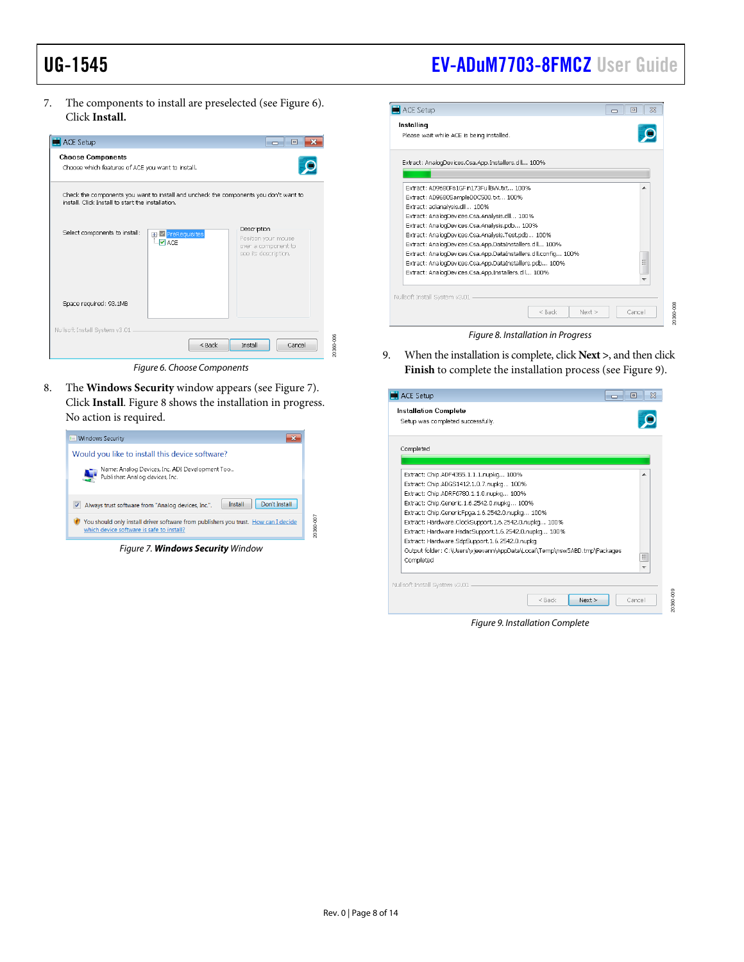## UG-1545 [EV-ADuM7703-8FMCZ](https://www.analog.com/EVAL-ADuM7703?doc=EV-ADuM7703-8FMCZ-UG-1545.pdf) User Guide

7. The components to install are preselected (se[e Figure 6\)](#page-7-0). Click **Install.**



Figure 6. Choose Components

<span id="page-7-0"></span>8. The **Windows Security** window appears (see [Figure 7\).](#page-7-1) Click **Install**. [Figure 8 s](#page-7-2)hows the installation in progress. No action is required.

<span id="page-7-1"></span>

Figure 7. **Windows Security** Window



<span id="page-7-2"></span>9. When the installation is complete, click **Next >**, and then click **Finish** to complete the installation process (see [Figure 9\)](#page-7-3).

| ACE Setup                                                                                                                                                                                                                                                                                                                                                                                                                                                                                |                  | 同<br>Х<br>والمصر |
|------------------------------------------------------------------------------------------------------------------------------------------------------------------------------------------------------------------------------------------------------------------------------------------------------------------------------------------------------------------------------------------------------------------------------------------------------------------------------------------|------------------|------------------|
| <b>Installation Complete</b><br>Setup was completed successfully.                                                                                                                                                                                                                                                                                                                                                                                                                        |                  |                  |
| Completed                                                                                                                                                                                                                                                                                                                                                                                                                                                                                |                  |                  |
|                                                                                                                                                                                                                                                                                                                                                                                                                                                                                          |                  |                  |
| Extract: Chip.ADF4355.1.1.1.nupkg 100%<br>Extract: Chip.ADGS1412.1.0.7.nupkg 100%<br>Extract: Chip.ADRF6780.1.1.0.nupkg 100%<br>Extract: Chip.Generic.1.6.2542.0.nupkg 100%<br>Extract: Chip.GenericFpga.1.6.2542.0.nupkg 100%<br>Extract: Hardware.ClockSupport.1.6.2542.0.nupkg 100%<br>Extract: Hardware.HsdacSupport.1.6.2542.0.nupkg 100%<br>Extract: Hardware.SdpSupport.1.6.2542.0.nupkg<br>Output folder: C:\Users\vjeevann\AppData\Local\Temp\nsw5ABD.tmp\Packages<br>Completed |                  | $\equiv$         |
| Nullsoft Install System v3.01                                                                                                                                                                                                                                                                                                                                                                                                                                                            | $<$ Back<br>Next | ÷<br>Cancel      |

<span id="page-7-3"></span>Figure 9. Installation Complete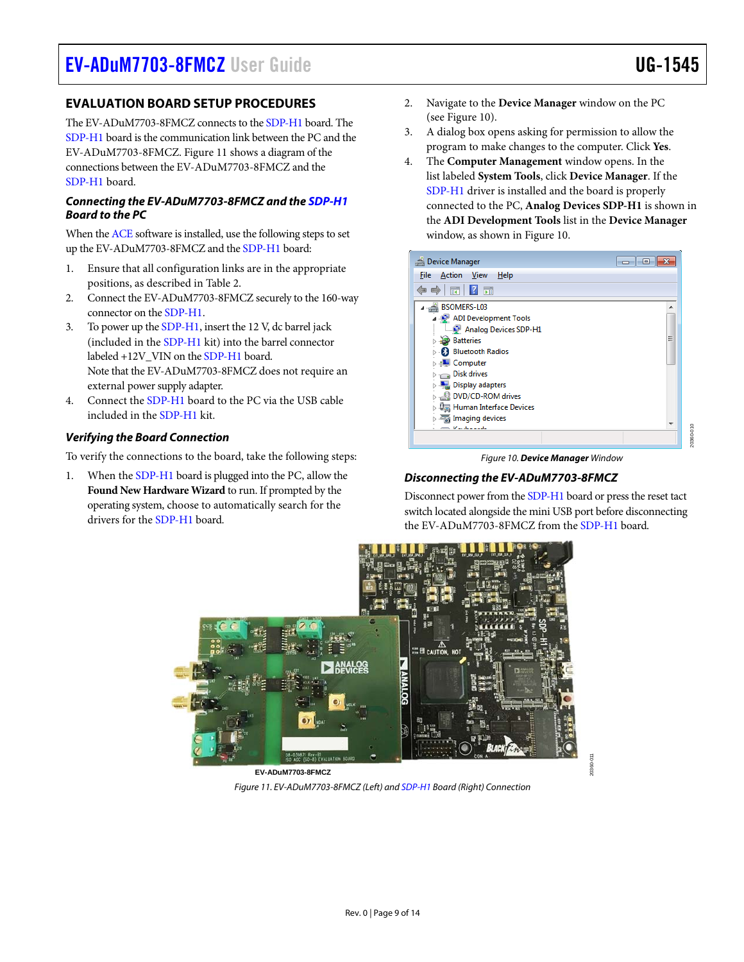<span id="page-8-0"></span>The EV-ADuM7703-8FMCZ connects to th[e SDP-H1](https://www.analog.com/SDP-H1?doc=EV-ADuM7703-8FMCZ-UG-1545.pdf) board. The [SDP-H1 b](https://www.analog.com/SDP-H1?doc=EV-ADuM7703-8FMCZ-UG-1545.pdf)oard is the communication link between the PC and the EV-ADuM7703-8FMCZ[. Figure 11](#page-8-1) shows a diagram of the connections between the EV-ADuM7703-8FMCZ and the [SDP-H1 b](https://www.analog.com/SDP-H1?doc=EV-ADuM7703-8FMCZ-UG-1545.pdf)oard.

#### **Connecting the EV-ADuM7703-8FMCZ and th[e SDP-H1](https://www.analog.com/SDP-H1?doc=EV-ADuM7703-8FMCZ-UG-1545.pdf) Board to the PC**

When th[e ACE s](https://www.analog.com/ACE?doc=EV-ADuM7702-8FMCZ-UG-1545.pdf)oftware is installed, use the following steps to set up the EV-ADuM7703-8FMCZ and th[e SDP-H1 b](https://www.analog.com/SDP-H1?doc=EV-ADuM7703-8FMCZ-UG-1545.pdf)oard:

- 1. Ensure that all configuration links are in the appropriate positions, as described i[n Table 2.](#page-4-1)
- 2. Connect the EV-ADuM7703-8FMCZ securely to the 160-way connector on th[e SDP-H1.](https://www.analog.com/SDP-H1?doc=EV-ADuM7703-8FMCZ-UG-1545.pdf)
- 3. To power up th[e SDP-H1,](https://www.analog.com/SDP-H1?doc=EV-ADuM7703-8FMCZ-UG-1545.pdf) insert the 12 V, dc barrel jack (included in th[e SDP-H1](https://www.analog.com/SDP-H1?doc=EV-ADuM7703-8FMCZ-UG-1545.pdf) kit) into the barrel connector labeled +12V\_VIN on th[e SDP-H1](https://www.analog.com/SDP-H1?doc=EV-ADuM7703-8FMCZ-UG-1545.pdf) board. Note that the EV-ADuM7703-8FMCZ does not require an external power supply adapter.
- 4. Connect the [SDP-H1 b](https://www.analog.com/SDP-H1?doc=EV-ADuM7703-8FMCZ-UG-1545.pdf)oard to the PC via the USB cable included in th[e SDP-H1 k](https://www.analog.com/SDP-H1?doc=EV-ADuM7703-8FMCZ-UG-1545.pdf)it.

#### **Verifying the Board Connection**

To verify the connections to the board, take the following steps:

1. When th[e SDP-H1](https://www.analog.com/SDP-H1?doc=EV-ADuM7703-8FMCZ-UG-1545.pdf) board is plugged into the PC, allow the **Found New Hardware Wizard** to run. If prompted by the operating system, choose to automatically search for the drivers for the [SDP-H1](https://www.analog.com/SDP-H1?doc=EV-ADuM7703-8FMCZ-UG-1545.pdf) board.

- 2. Navigate to the **Device Manager** window on the PC (see [Figure 10\)](#page-8-2).
- 3. A dialog box opens asking for permission to allow the program to make changes to the computer. Click **Yes**.
- 4. The **Computer Management** window opens. In the list labeled **System Tools**, click **Device Manager**. If the [SDP-H1 d](https://www.analog.com/SDP-H1?doc=EV-ADuM7703-8FMCZ-UG-1545.pdf)river is installed and the board is properly connected to the PC, **Analog Devices SDP-H1** is shown in the **ADI Development Tools** list in the **Device Manager**  window, as shown in [Figure 10.](#page-8-2)

| Device Manager                        | $\blacksquare$ |
|---------------------------------------|----------------|
| Action<br><b>View</b><br>Help<br>File |                |
| $\frac{1}{2}$                         |                |
| BSOMERS-L03                           | ▲              |
| ADI Development Tools                 |                |
| Analog Devices SDP-H1                 |                |
| <b>Batteries</b>                      | Ξ              |
| <b>Bluetooth Radios</b>               |                |
| Computer                              |                |
| <b>Disk drives</b>                    |                |
| Display adapters                      |                |
| DVD/CD-ROM drives                     |                |
| Human Interface Devices               |                |
| Imaging devices                       | ٠              |
| Marchan and a                         |                |
|                                       |                |

Figure 10. **Device Manager** Window

#### <span id="page-8-2"></span>**Disconnecting the EV-ADuM7703-8FMCZ**

Disconnect power from th[e SDP-H1 b](https://www.analog.com/SDP-H1?doc=EV-ADuM7703-8FMCZ-UG-1545.pdf)oard or press the reset tact switch located alongside the mini USB port before disconnecting the EV-ADuM7703-8FMCZ from the [SDP-H1](https://www.analog.com/SDP-H1?doc=EV-ADuM7703-8FMCZ-UG-1545.pdf) board.

20360-011

<span id="page-8-1"></span>

**EV-ADuM7703-8FMCZ** Figure 11. EV-ADuM7703-8FMCZ (Left) an[d SDP-H1 B](https://www.analog.com/SDP-H1?doc=EV-ADuM7703-8FMCZ-UG-1545.pdf)oard (Right) Connection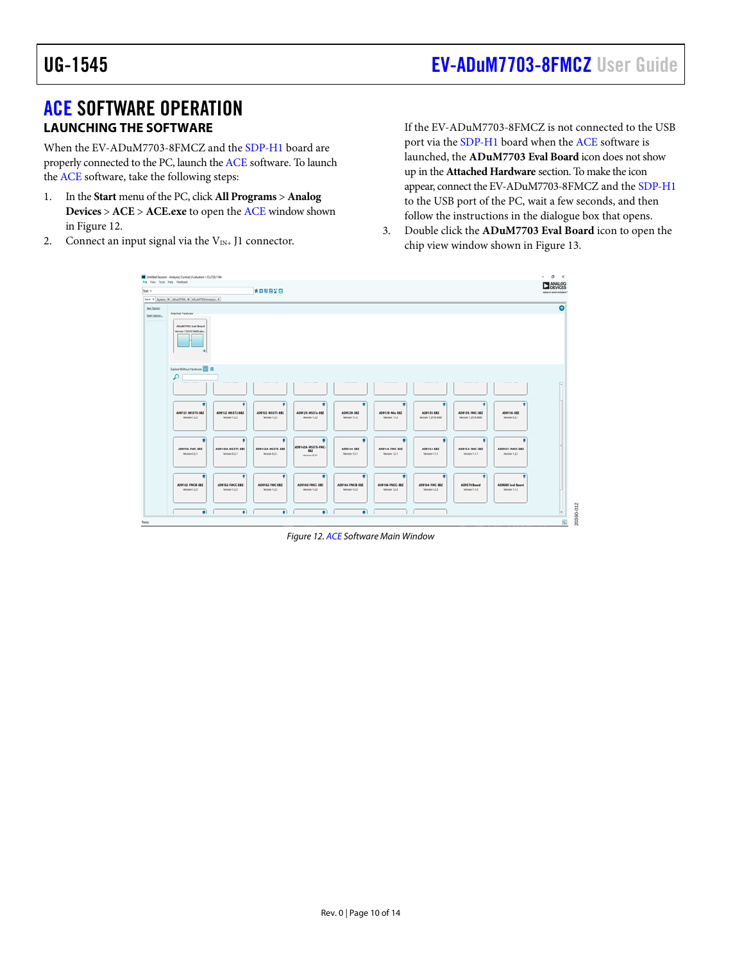### <span id="page-9-0"></span>[ACE](https://www.analog.com/ACE?doc=EV-ADuM7702-8FMCZ-UG-1545.pdf) SOFTWARE OPERATION **LAUNCHING THE SOFTWARE**

When the EV-ADuM7703-8FMCZ and the [SDP-H1 b](https://www.analog.com/SDP-H1?doc=EV-ADuM7703-8FMCZ-UG-1545.pdf)oard are properly connected to the PC, launch th[e ACE s](https://www.analog.com/ACE?doc=EV-ADuM7702-8FMCZ-UG-1545.pdf)oftware. To launch th[e ACE s](https://www.analog.com/ACE?doc=EV-ADuM7702-8FMCZ-UG-1545.pdf)oftware, take the following steps:

- 1. In the **Start** menu of the PC, click **All Programs** > **Analog Devices** > **ACE** > **ACE.exe** to open the [ACE](https://www.analog.com/ACE?doc=EV-ADuM7702-8FMCZ-UG-1545.pdf) window shown i[n Figure 12.](#page-9-1)
- 2. Connect an input signal via the  $V_{IN+}$  J1 connector.

If the EV-ADuM7703-8FMCZ is not connected to the USB port via the [SDP-H1 b](https://www.analog.com/SDP-H1?doc=EV-ADuM7703-8FMCZ-UG-1545.pdf)oard when the [ACE](https://www.analog.com/ACE?doc=EV-ADuM7702-8FMCZ-UG-1545.pdf) software is launched, the **ADuM7703 Eval Board** icon does not show up in the **Attached Hardware** section. To make the icon appear, connect the EV-ADuM7703-8FMCZ and th[e SDP-H1](https://www.analog.com/SDP-H1?doc=EV-ADuM7703-8FMCZ-UG-1545.pdf) to the USB port of the PC, wait a few seconds, and then follow the instructions in the dialogue box that opens.

3. Double click the **ADuM7703 Eval Board** icon to open the chip view window shown in [Figure 13.](#page-10-1) 



<span id="page-9-1"></span>Figure 12[. ACE S](https://www.analog.com/ACE?doc=EV-ADuM7702-8FMCZ-UG-1545.pdf)oftware Main Window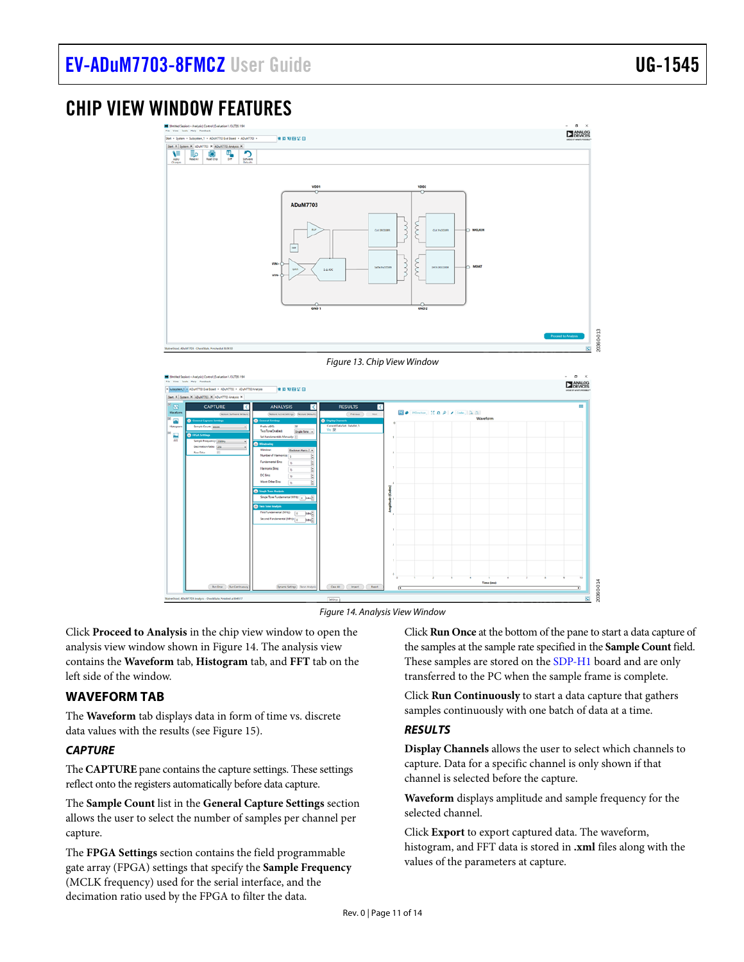### <span id="page-10-0"></span>CHIP VIEW WINDOW FEATURES

<span id="page-10-1"></span>

Figure 14. Analysis View Window

<span id="page-10-2"></span>Click **Proceed to Analysis** in the chip view window to open the analysis view window shown in [Figure 14.](#page-10-2) The analysis view contains the **Waveform** tab, **Histogram** tab, and **FFT** tab on the left side of the window.

#### **WAVEFORM TAB**

The **Waveform** tab displays data in form of time vs. discrete data values with the results (see [Figure 15\)](#page-11-1).

#### **CAPTURE**

The **CAPTURE** pane contains the capture settings. These settings reflect onto the registers automatically before data capture.

The **Sample Count** list in the **General Capture Settings** section allows the user to select the number of samples per channel per capture.

The **FPGA Settings** section contains the field programmable gate array (FPGA) settings that specify the **Sample Frequency** (MCLK frequency) used for the serial interface, and the decimation ratio used by the FPGA to filter the data.

Click **Run Once** at the bottom of the pane to start a data capture of the samples at the sample rate specified in the **Sample Count** field. These samples are stored on the [SDP-H1 b](https://www.analog.com/SDP-H1?doc=EV-ADuM7703-8FMCZ-UG-1545.pdf)oard and are only transferred to the PC when the sample frame is complete.

20360-014

20360-014

Click **Run Continuously** to start a data capture that gathers samples continuously with one batch of data at a time.

#### **RESULTS**

**Display Channels** allows the user to select which channels to capture. Data for a specific channel is only shown if that channel is selected before the capture.

**Waveform** displays amplitude and sample frequency for the selected channel.

Click **Export** to export captured data. The waveform, histogram, and FFT data is stored in **.xml** files along with the values of the parameters at capture.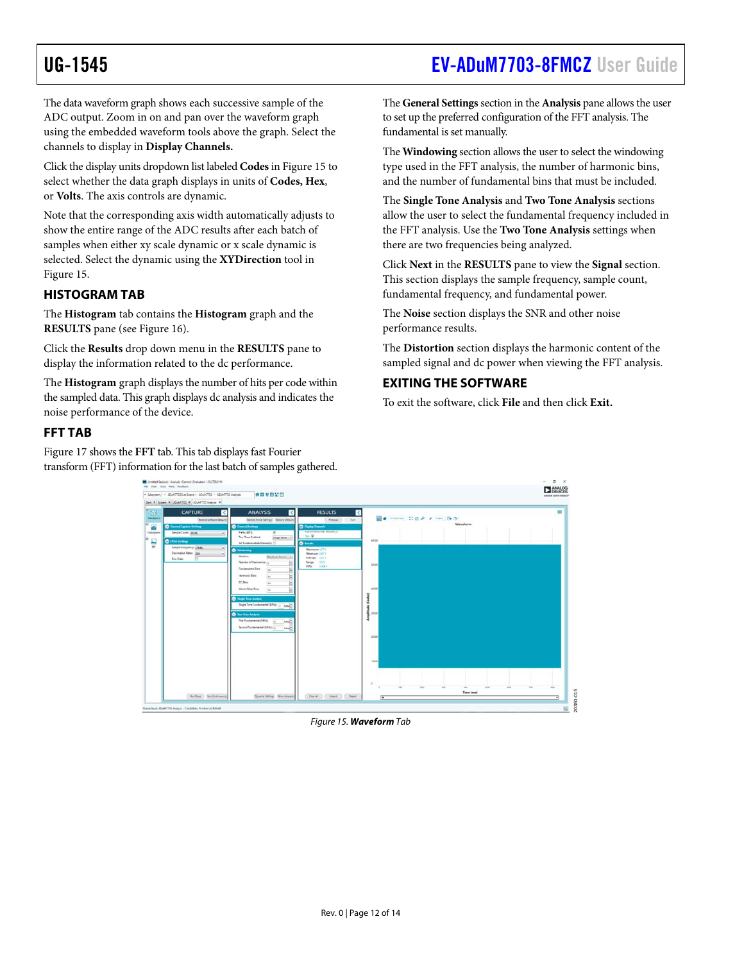### <span id="page-11-0"></span>UG-1545 [EV-ADuM7703-8FMCZ](https://www.analog.com/EVAL-ADuM7703?doc=EV-ADuM7703-8FMCZ-UG-1545.pdf) User Guide

The data waveform graph shows each successive sample of the ADC output. Zoom in on and pan over the waveform graph using the embedded waveform tools above the graph. Select the channels to display in **Display Channels.**

Click the display units dropdown list labeled **Codes** i[n Figure 15](#page-11-1) to select whether the data graph displays in units of **Codes, Hex**, or **Volts**. The axis controls are dynamic.

Note that the corresponding axis width automatically adjusts to show the entire range of the ADC results after each batch of samples when either xy scale dynamic or x scale dynamic is selected. Select the dynamic using the **XYDirection** tool in [Figure 15.](#page-11-1) 

### **HISTOGRAM TAB**

The **Histogram** tab contains the **Histogram** graph and the **RESULTS** pane (se[e Figure 16\)](#page-12-0).

Click the **Results** drop down menu in the **RESULTS** pane to display the information related to the dc performance.

The **Histogram** graph displays the number of hits per code within the sampled data. This graph displays dc analysis and indicates the noise performance of the device.

#### **FFT TAB**

[Figure 17 s](#page-12-1)hows the **FFT** tab. This tab displays fast Fourier transform (FFT) information for the last batch of samples gathered. The **General Settings** section in the **Analysis** pane allows the user to set up the preferred configuration of the FFT analysis. The fundamental is set manually.

The **Windowing** section allows the user to select the windowing type used in the FFT analysis, the number of harmonic bins, and the number of fundamental bins that must be included.

The **Single Tone Analysis** and **Two Tone Analysis** sections allow the user to select the fundamental frequency included in the FFT analysis. Use the **Two Tone Analysis** settings when there are two frequencies being analyzed.

Click **Next** in the **RESULTS** pane to view the **Signal** section. This section displays the sample frequency, sample count, fundamental frequency, and fundamental power.

The **Noise** section displays the SNR and other noise performance results.

The **Distortion** section displays the harmonic content of the sampled signal and dc power when viewing the FFT analysis.

#### **EXITING THE SOFTWARE**

To exit the software, click **File** and then click **Exit.**

<span id="page-11-1"></span>

Figure 15. **Waveform** Tab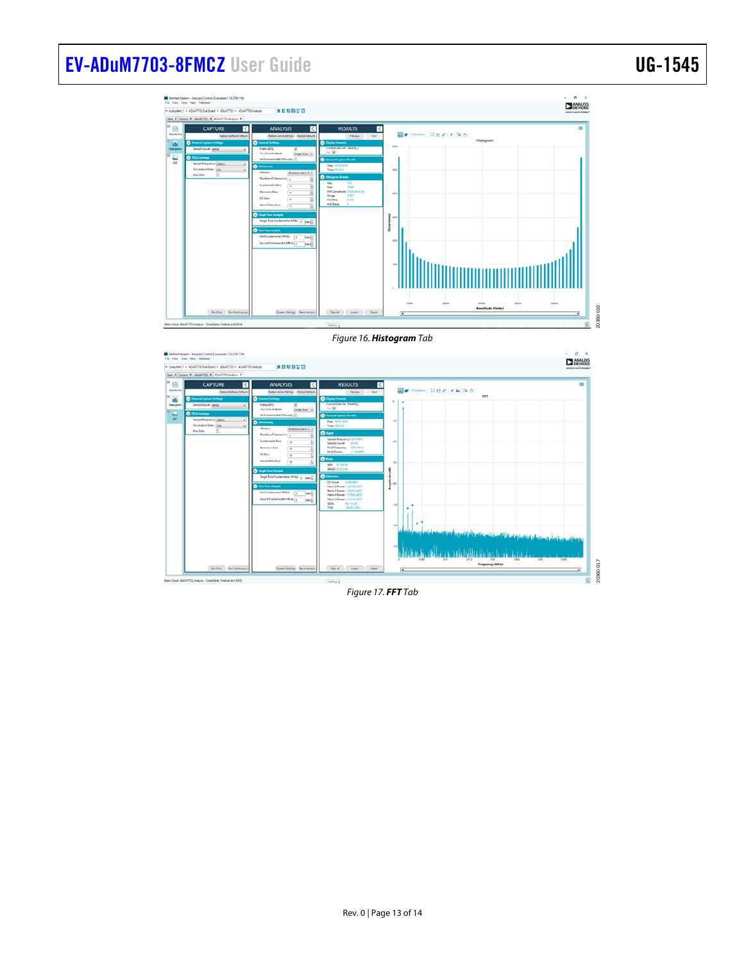# [EV-ADuM7703-8FMCZ](https://www.analog.com/EVAL-ADuM7703?doc=EV-ADuM7703-8FMCZ-UG-1545.pdf) User Guide Van Andrew VG-1545



#### Figure 16. **Histogram** Tab

<span id="page-12-1"></span><span id="page-12-0"></span>

Figure 17. **FFT** Tab